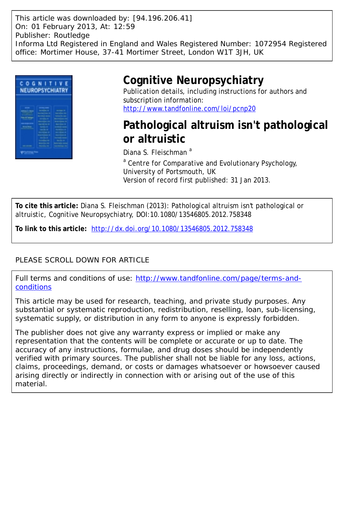This article was downloaded by: [94.196.206.41] On: 01 February 2013, At: 12:59 Publisher: Routledge Informa Ltd Registered in England and Wales Registered Number: 1072954 Registered office: Mortimer House, 37-41 Mortimer Street, London W1T 3JH, UK



# **Cognitive Neuropsychiatry**

Publication details, including instructions for authors and subscription information: <http://www.tandfonline.com/loi/pcnp20>

# **Pathological altruism isn't pathological or altruistic**

Diana S. Fleischman<sup>a</sup>

<sup>a</sup> Centre for Comparative and Evolutionary Psychology, University of Portsmouth, UK Version of record first published: 31 Jan 2013.

**To cite this article:** Diana S. Fleischman (2013): Pathological altruism isn't pathological or altruistic, Cognitive Neuropsychiatry, DOI:10.1080/13546805.2012.758348

**To link to this article:** <http://dx.doi.org/10.1080/13546805.2012.758348>

### PLEASE SCROLL DOWN FOR ARTICLE

Full terms and conditions of use: [http://www.tandfonline.com/page/terms-and](http://www.tandfonline.com/page/terms-and-conditions)[conditions](http://www.tandfonline.com/page/terms-and-conditions)

This article may be used for research, teaching, and private study purposes. Any substantial or systematic reproduction, redistribution, reselling, loan, sub-licensing, systematic supply, or distribution in any form to anyone is expressly forbidden.

The publisher does not give any warranty express or implied or make any representation that the contents will be complete or accurate or up to date. The accuracy of any instructions, formulae, and drug doses should be independently verified with primary sources. The publisher shall not be liable for any loss, actions, claims, proceedings, demand, or costs or damages whatsoever or howsoever caused arising directly or indirectly in connection with or arising out of the use of this material.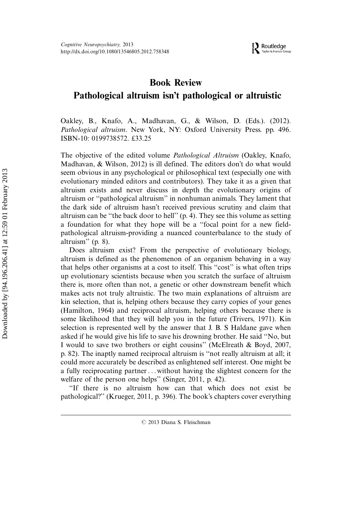## Book Review Pathological altruism isn't pathological or altruistic

Oakley, B., Knafo, A., Madhavan, G., & Wilson, D. (Eds.). (2012). Pathological altruism. New York, NY: Oxford University Press. pp. 496. ISBN-10: 0199738572. £33.25

The objective of the edited volume Pathological Altruism (Oakley, Knafo, Madhavan, & Wilson, 2012) is ill defined. The editors don't do what would seem obvious in any psychological or philosophical text (especially one with evolutionary minded editors and contributors). They take it as a given that altruism exists and never discuss in depth the evolutionary origins of altruism or ''pathological altruism'' in nonhuman animals. They lament that the dark side of altruism hasn't received previous scrutiny and claim that altruism can be ''the back door to hell'' (p. 4). They see this volume as setting a foundation for what they hope will be a ''focal point for a new fieldpathological altruism-providing a nuanced counterbalance to the study of altruism'' (p. 8).

Does altruism exist? From the perspective of evolutionary biology, altruism is defined as the phenomenon of an organism behaving in a way that helps other organisms at a cost to itself. This ''cost'' is what often trips up evolutionary scientists because when you scratch the surface of altruism there is, more often than not, a genetic or other downstream benefit which makes acts not truly altruistic. The two main explanations of altruism are kin selection, that is, helping others because they carry copies of your genes (Hamilton, 1964) and reciprocal altruism, helping others because there is some likelihood that they will help you in the future (Trivers, 1971). Kin selection is represented well by the answer that J. B. S Haldane gave when asked if he would give his life to save his drowning brother. He said ''No, but I would to save two brothers or eight cousins'' (McElreath & Boyd, 2007, p. 82). The inaptly named reciprocal altruism is ''not really altruism at all; it could more accurately be described as enlightened self interest. One might be a fully reciprocating partner...without having the slightest concern for the welfare of the person one helps'' (Singer, 2011, p. 42).

''If there is no altruism how can that which does not exist be pathological?'' (Krueger, 2011, p. 396). The book's chapters cover everything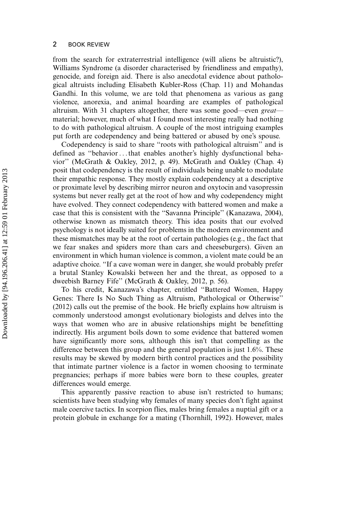#### 2 BOOK REVIEW

from the search for extraterrestrial intelligence (will aliens be altruistic?), Williams Syndrome (a disorder characterised by friendliness and empathy), genocide, and foreign aid. There is also anecdotal evidence about pathological altruists including Elisabeth Kubler-Ross (Chap. 11) and Mohandas Gandhi. In this volume, we are told that phenomena as various as gang violence, anorexia, and animal hoarding are examples of pathological altruism. With 31 chapters altogether, there was some good—even great material; however, much of what I found most interesting really had nothing to do with pathological altruism. A couple of the most intriguing examples put forth are codependency and being battered or abused by one's spouse.

Codependency is said to share ''roots with pathological altruism'' and is defined as ''behavior...that enables another's highly dysfunctional behavior'' (McGrath & Oakley, 2012, p. 49). McGrath and Oakley (Chap. 4) posit that codependency is the result of individuals being unable to modulate their empathic response. They mostly explain codependency at a descriptive or proximate level by describing mirror neuron and oxytocin and vasopressin systems but never really get at the root of how and why codependency might have evolved. They connect codependency with battered women and make a case that this is consistent with the ''Savanna Principle'' (Kanazawa, 2004), otherwise known as mismatch theory. This idea posits that our evolved psychology is not ideally suited for problems in the modern environment and these mismatches may be at the root of certain pathologies (e.g., the fact that we fear snakes and spiders more than cars and cheeseburgers). Given an environment in which human violence is common, a violent mate could be an adaptive choice. ''If a cave woman were in danger, she would probably prefer a brutal Stanley Kowalski between her and the threat, as opposed to a dweebish Barney Fife'' (McGrath & Oakley, 2012, p. 56).

To his credit, Kanazawa's chapter, entitled ''Battered Women, Happy Genes: There Is No Such Thing as Altruism, Pathological or Otherwise'' (2012) calls out the premise of the book. He briefly explains how altruism is commonly understood amongst evolutionary biologists and delves into the ways that women who are in abusive relationships might be benefitting indirectly. His argument boils down to some evidence that battered women have significantly more sons, although this isn't that compelling as the difference between this group and the general population is just 1.6%. These results may be skewed by modern birth control practices and the possibility that intimate partner violence is a factor in women choosing to terminate pregnancies; perhaps if more babies were born to these couples, greater differences would emerge.

This apparently passive reaction to abuse isn't restricted to humans; scientists have been studying why females of many species don't fight against male coercive tactics. In scorpion flies, males bring females a nuptial gift or a protein globule in exchange for a mating (Thornhill, 1992). However, males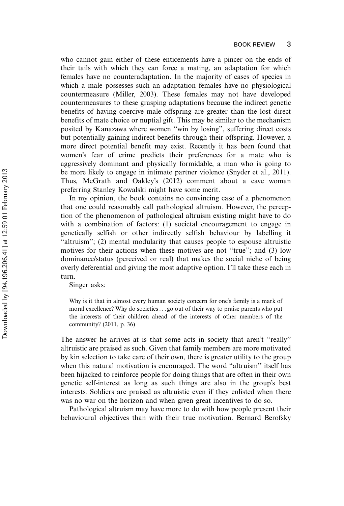who cannot gain either of these enticements have a pincer on the ends of their tails with which they can force a mating, an adaptation for which females have no counteradaptation. In the majority of cases of species in which a male possesses such an adaptation females have no physiological countermeasure (Miller, 2003). These females may not have developed countermeasures to these grasping adaptations because the indirect genetic benefits of having coercive male offspring are greater than the lost direct benefits of mate choice or nuptial gift. This may be similar to the mechanism posited by Kanazawa where women ''win by losing'', suffering direct costs but potentially gaining indirect benefits through their offspring. However, a more direct potential benefit may exist. Recently it has been found that women's fear of crime predicts their preferences for a mate who is aggressively dominant and physically formidable, a man who is going to be more likely to engage in intimate partner violence (Snyder et al., 2011). Thus, McGrath and Oakley's (2012) comment about a cave woman preferring Stanley Kowalski might have some merit.

In my opinion, the book contains no convincing case of a phenomenon that one could reasonably call pathological altruism. However, the perception of the phenomenon of pathological altruism existing might have to do with a combination of factors: (1) societal encouragement to engage in genetically selfish or other indirectly selfish behaviour by labelling it "altruism"; (2) mental modularity that causes people to espouse altruistic motives for their actions when these motives are not ''true''; and (3) low dominance/status (perceived or real) that makes the social niche of being overly deferential and giving the most adaptive option. I'll take these each in turn.

Singer asks:

Why is it that in almost every human society concern for one's family is a mark of moral excellence? Why do societies...go out of their way to praise parents who put the interests of their children ahead of the interests of other members of the community? (2011, p. 36)

The answer he arrives at is that some acts in society that aren't ''really'' altruistic are praised as such. Given that family members are more motivated by kin selection to take care of their own, there is greater utility to the group when this natural motivation is encouraged. The word ''altruism'' itself has been hijacked to reinforce people for doing things that are often in their own genetic self-interest as long as such things are also in the group's best interests. Soldiers are praised as altruistic even if they enlisted when there was no war on the horizon and when given great incentives to do so.

Pathological altruism may have more to do with how people present their behavioural objectives than with their true motivation. Bernard Berofsky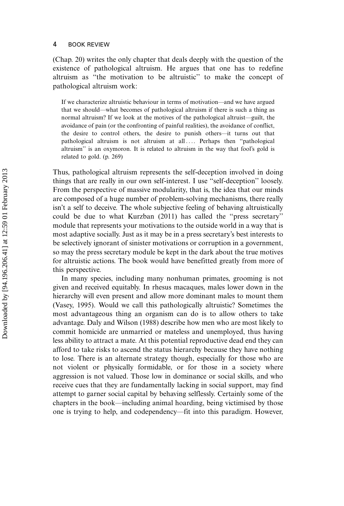#### 4 BOOK REVIEW

(Chap. 20) writes the only chapter that deals deeply with the question of the existence of pathological altruism. He argues that one has to redefine altruism as ''the motivation to be altruistic'' to make the concept of pathological altruism work:

If we characterize altruistic behaviour in terms of motivation—and we have argued that we should\*what becomes of pathological altruism if there is such a thing as normal altruism? If we look at the motives of the pathological altruist—guilt, the avoidance of pain (or the confronting of painful realities), the avoidance of conflict, the desire to control others, the desire to punish others—it turns out that pathological altruism is not altruism at all .... Perhaps then ''pathological altruism'' is an oxymoron. It is related to altruism in the way that fool's gold is related to gold. (p. 269)

Thus, pathological altruism represents the self-deception involved in doing things that are really in our own self-interest. I use ''self-deception'' loosely. From the perspective of massive modularity, that is, the idea that our minds are composed of a huge number of problem-solving mechanisms, there really isn't a self to deceive. The whole subjective feeling of behaving altruistically could be due to what Kurzban (2011) has called the ''press secretary'' module that represents your motivations to the outside world in a way that is most adaptive socially. Just as it may be in a press secretary's best interests to be selectively ignorant of sinister motivations or corruption in a government, so may the press secretary module be kept in the dark about the true motives for altruistic actions. The book would have benefitted greatly from more of this perspective.

In many species, including many nonhuman primates, grooming is not given and received equitably. In rhesus macaques, males lower down in the hierarchy will even present and allow more dominant males to mount them (Vasey, 1995). Would we call this pathologically altruistic? Sometimes the most advantageous thing an organism can do is to allow others to take advantage. Daly and Wilson (1988) describe how men who are most likely to commit homicide are unmarried or mateless and unemployed, thus having less ability to attract a mate. At this potential reproductive dead end they can afford to take risks to ascend the status hierarchy because they have nothing to lose. There is an alternate strategy though, especially for those who are not violent or physically formidable, or for those in a society where aggression is not valued. Those low in dominance or social skills, and who receive cues that they are fundamentally lacking in social support, may find attempt to garner social capital by behaving selflessly. Certainly some of the chapters in the book—including animal hoarding, being victimised by those one is trying to help, and codependency—fit into this paradigm. However,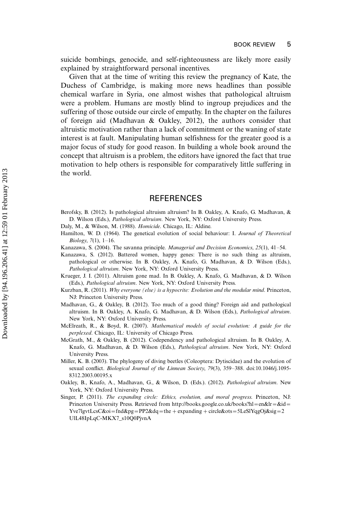suicide bombings, genocide, and self-righteousness are likely more easily explained by straightforward personal incentives.

Given that at the time of writing this review the pregnancy of Kate, the Duchess of Cambridge, is making more news headlines than possible chemical warfare in Syria, one almost wishes that pathological altruism were a problem. Humans are mostly blind to ingroup prejudices and the suffering of those outside our circle of empathy. In the chapter on the failures of foreign aid (Madhavan & Oakley, 2012), the authors consider that altruistic motivation rather than a lack of commitment or the waning of state interest is at fault. Manipulating human selfishness for the greater good is a major focus of study for good reason. In building a whole book around the concept that altruism is a problem, the editors have ignored the fact that true motivation to help others is responsible for comparatively little suffering in the world.

### **REFERENCES**

- Berofsky, B. (2012). Is pathological altruism altruism? In B. Oakley, A. Knafo, G. Madhavan, & D. Wilson (Eds.), Pathological altruism. New York, NY: Oxford University Press.
- Daly, M., & Wilson, M. (1988). Homicide. Chicago, IL: Aldine.
- Hamilton, W. D. (1964). The genetical evolution of social behaviour: I. Journal of Theoretical Biology, 7(1), 1-16.
- Kanazawa, S. (2004). The savanna principle. *Managerial and Decision Economics*, 25(1), 41–54.
- Kanazawa, S. (2012). Battered women, happy genes: There is no such thing as altruism, pathological or otherwise. In B. Oakley, A. Knafo, G. Madhavan, & D. Wilson (Eds.), Pathological altruism. New York, NY: Oxford University Press.
- Krueger, J. I. (2011). Altruism gone mad. In B. Oakley, A. Knafo, G. Madhavan, & D. Wilson (Eds.), Pathological altruism. New York, NY: Oxford University Press.
- Kurzban, R. (2011). Why everyone (else) is a hypocrite: Evolution and the modular mind. Princeton, NJ: Princeton University Press.
- Madhavan, G., & Oakley, B. (2012). Too much of a good thing? Foreign aid and pathological altruism. In B. Oakley, A. Knafo, G. Madhavan, & D. Wilson (Eds.), Pathological altruism. New York, NY: Oxford University Press.
- McElreath, R., & Boyd, R. (2007). Mathematical models of social evolution: A guide for the perplexed. Chicago, IL: University of Chicago Press.
- McGrath, M., & Oakley, B. (2012). Codependency and pathological altruism. In B. Oakley, A. Knafo, G. Madhavan, & D. Wilson (Eds.), Pathological altruism. New York, NY: Oxford University Press.
- Miller, K. B. (2003). The phylogeny of diving beetles (Coleoptera: Dytiscidae) and the evolution of sexual conflict. Biological Journal of the Linnean Society, 79(3), 359-388. doi:10.1046/j.1095-8312.2003.00195.x
- Oakley, B., Knafo, A., Madhavan, G., & Wilson, D. (Eds.). (2012). Pathological altruism. New York, NY: Oxford University Press.
- Singer, P. (2011). The expanding circle: Ethics, evolution, and moral progress. Princeton, NJ: Princeton University Press. Retrieved from [http://books.google.co.uk/books?hl](http://books.google.co.uk/books?hl=en&lr=&id=Yve7lgvtLcsC&oi=fnd&pg=PP2&dq=the+expanding+circle&ots=5LeSlYqgOj&sig=2UlL48IpLqC-MKX7_s10Q0PjvnA)=[en&lr](http://books.google.co.uk/books?hl=en&lr=&id=Yve7lgvtLcsC&oi=fnd&pg=PP2&dq=the+expanding+circle&ots=5LeSlYqgOj&sig=2UlL48IpLqC-MKX7_s10Q0PjvnA)=[&id](http://books.google.co.uk/books?hl=en&lr=&id=Yve7lgvtLcsC&oi=fnd&pg=PP2&dq=the+expanding+circle&ots=5LeSlYqgOj&sig=2UlL48IpLqC-MKX7_s10Q0PjvnA)=  $Yve7lgvtLcsC&0 = fnd&pg = PP2&dq = the + expanding + circle&0$  $Yve7lgvtLcsC&0 = fnd&pg = PP2&dq = the + expanding + circle&0$  $Yve7lgvtLcsC&0 = fnd&pg = PP2&dq = the + expanding + circle&0$  $Yve7lgvtLcsC&0 = fnd&pg = PP2&dq = the + expanding + circle&0$  $Yve7lgvtLcsC&0 = fnd&pg = PP2&dq = the + expanding + circle&0$  $Yve7lgvtLcsC&0 = fnd&pg = PP2&dq = the + expanding + circle&0$  $Yve7lgvtLcsC&0 = fnd&pg = PP2&dq = the + expanding + circle&0$  $Yve7lgvtLcsC&0 = fnd&pg = PP2&dq = the + expanding + circle&0$  $Yve7lgvtLcsC&0 = fnd&pg = PP2&dq = the + expanding + circle&0$ ts = [5LeSlYqgOj&sig](http://books.google.co.uk/books?hl=en&lr=&id=Yve7lgvtLcsC&oi=fnd&pg=PP2&dq=the+expanding+circle&ots=5LeSlYqgOj&sig=2UlL48IpLqC-MKX7_s10Q0PjvnA) = [2](http://books.google.co.uk/books?hl=en&lr=&id=Yve7lgvtLcsC&oi=fnd&pg=PP2&dq=the+expanding+circle&ots=5LeSlYqgOj&sig=2UlL48IpLqC-MKX7_s10Q0PjvnA) [UlL48IpLqC-MKX7\\_s10Q0PjvnA](http://books.google.co.uk/books?hl=en&lr=&id=Yve7lgvtLcsC&oi=fnd&pg=PP2&dq=the+expanding+circle&ots=5LeSlYqgOj&sig=2UlL48IpLqC-MKX7_s10Q0PjvnA)